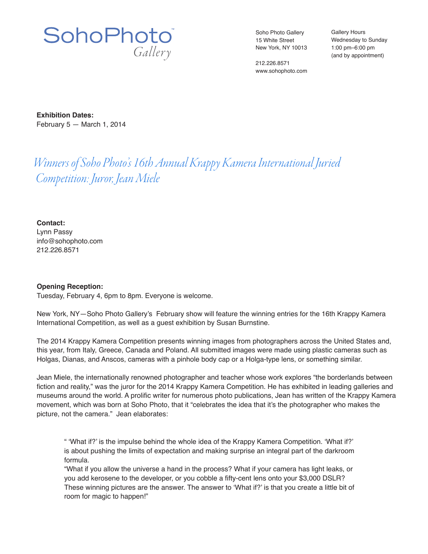

Soho Photo Gallery 15 White Street New York, NY 10013

212.226.8571 www.sohophoto.com Gallery Hours Wednesday to Sunday 1:00 pm–6:00 pm (and by appointment)

**Exhibition Dates:** February 5 — March 1, 2014

## *Winners of Soho Photo's 16th Annual Krappy Kamera International Juried Competition: Juror, Jean Miele*

**Contact:** Lynn Passy info@sohophoto.com

212.226.8571

## **Opening Reception:**

Tuesday, February 4, 6pm to 8pm. Everyone is welcome.

New York, NY—Soho Photo Gallery's February show will feature the winning entries for the 16th Krappy Kamera International Competition, as well as a guest exhibition by Susan Burnstine.

The 2014 Krappy Kamera Competition presents winning images from photographers across the United States and, this year, from Italy, Greece, Canada and Poland. All submitted images were made using plastic cameras such as Holgas, Dianas, and Anscos, cameras with a pinhole body cap or a Holga-type lens, or something similar.

Jean Miele, the internationally renowned photographer and teacher whose work explores "the borderlands between fiction and reality," was the juror for the 2014 Krappy Kamera Competition. He has exhibited in leading galleries and museums around the world. A prolific writer for numerous photo publications, Jean has written of the Krappy Kamera movement, which was born at Soho Photo, that it "celebrates the idea that it's the photographer who makes the picture, not the camera." Jean elaborates:

" 'What if?' is the impulse behind the whole idea of the Krappy Kamera Competition. 'What if?' is about pushing the limits of expectation and making surprise an integral part of the darkroom formula.

"What if you allow the universe a hand in the process? What if your camera has light leaks, or you add kerosene to the developer, or you cobble a fifty-cent lens onto your \$3,000 DSLR? These winning pictures are the answer. The answer to 'What if?' is that you create a little bit of room for magic to happen!"